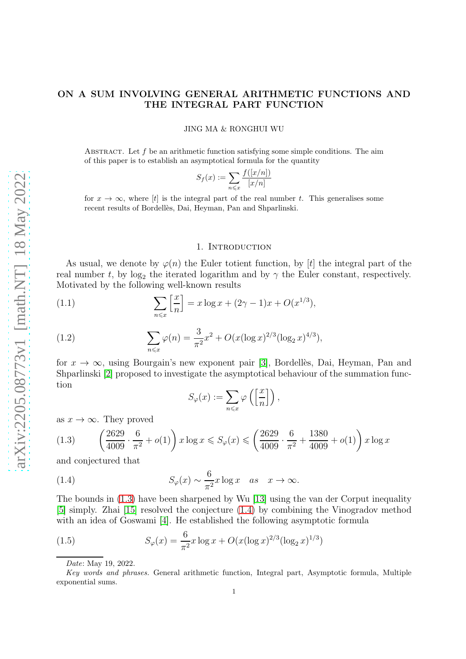# ON A SUM INVOLVING GENERAL ARITHMETIC FUNCTIONS AND THE INTEGRAL PART FUNCTION

#### JING MA & RONGHUI WU

ABSTRACT. Let  $f$  be an arithmetic function satisfying some simple conditions. The aim of this paper is to establish an asymptotical formula for the quantity

$$
S_f(x) := \sum_{n \leq x} \frac{f([x/n])}{[x/n]}
$$

for  $x \to \infty$ , where [t] is the integral part of the real number t. This generalises some recent results of Bordellès, Dai, Heyman, Pan and Shparlinski.

### 1. INTRODUCTION

As usual, we denote by  $\varphi(n)$  the Euler totient function, by [t] the integral part of the real number t, by  $log_2$  the iterated logarithm and by  $\gamma$  the Euler constant, respectively. Motivated by the following well-known results

(1.1) 
$$
\sum_{n \leq x} \left[ \frac{x}{n} \right] = x \log x + (2\gamma - 1)x + O(x^{1/3}),
$$

(1.2) 
$$
\sum_{n \leq x} \varphi(n) = \frac{3}{\pi^2} x^2 + O(x(\log x)^{2/3} (\log_2 x)^{4/3}),
$$

for  $x \to \infty$ , using Bourgain's new exponent pair [\[3\]](#page-6-0), Bordellès, Dai, Heyman, Pan and Shparlinski [\[2\]](#page-6-1) proposed to investigate the asymptotical behaviour of the summation function

<span id="page-0-1"></span>
$$
S_{\varphi}(x) := \sum_{n \leq x} \varphi\left(\left[\frac{x}{n}\right]\right),\,
$$

as  $x \to \infty$ . They proved

<span id="page-0-0"></span>
$$
(1.3) \qquad \left(\frac{2629}{4009} \cdot \frac{6}{\pi^2} + o(1)\right) x \log x \leq S_{\varphi}(x) \leq \left(\frac{2629}{4009} \cdot \frac{6}{\pi^2} + \frac{1380}{4009} + o(1)\right) x \log x
$$

and conjectured that

(1.4) 
$$
S_{\varphi}(x) \sim \frac{6}{\pi^2} x \log x \quad as \quad x \to \infty.
$$

The bounds in [\(1.3\)](#page-0-0) have been sharpened by Wu [\[13\]](#page-6-2) using the van der Corput inequality [\[5\]](#page-6-3) simply. Zhai [\[15\]](#page-6-4) resolved the conjecture [\(1.4\)](#page-0-1) by combining the Vinogradov method with an idea of Goswami [\[4\]](#page-6-5). He established the following asymptotic formula

(1.5) 
$$
S_{\varphi}(x) = \frac{6}{\pi^2} x \log x + O(x(\log x)^{2/3} (\log_2 x)^{1/3})
$$

<span id="page-0-2"></span>Date: May 19, 2022.

Key words and phrases. General arithmetic function, Integral part, Asymptotic formula, Multiple exponential sums.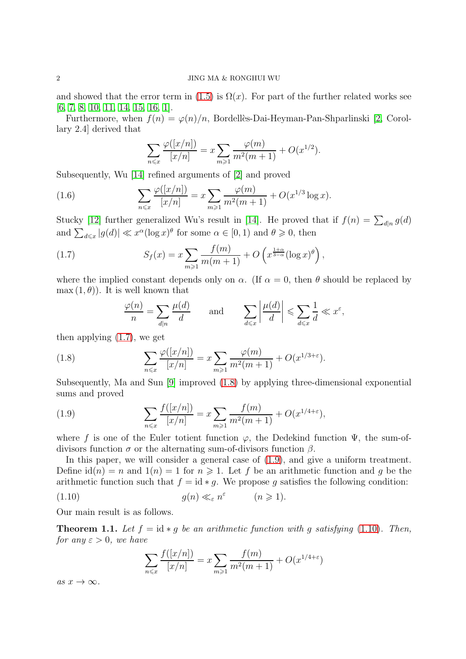#### 2 JING MA & RONGHUI WU

and showed that the error term in [\(1.5\)](#page-0-2) is  $\Omega(x)$ . For part of the further related works see [\[6,](#page-6-6) [7,](#page-6-7) [8,](#page-6-8) [10,](#page-6-9) [11,](#page-6-10) [14,](#page-6-11) [15,](#page-6-4) [16,](#page-6-12) [1\]](#page-6-13).

Furthermore, when  $f(n) = \varphi(n)/n$ , Bordellès-Dai-Heyman-Pan-Shparlinski [\[2,](#page-6-1) Corollary 2.4] derived that

$$
\sum_{n \leq x} \frac{\varphi([x/n])}{[x/n]} = x \sum_{m \geq 1} \frac{\varphi(m)}{m^2(m+1)} + O(x^{1/2}).
$$

Subsequently, Wu [\[14\]](#page-6-11) refined arguments of [\[2\]](#page-6-1) and proved

(1.6) 
$$
\sum_{n \leq x} \frac{\varphi([x/n])}{[x/n]} = x \sum_{m \geq 1} \frac{\varphi(m)}{m^2(m+1)} + O(x^{1/3} \log x).
$$

Stucky [\[12\]](#page-6-14) further generalized Wu's result in [\[14\]](#page-6-11). He proved that if  $f(n) = \sum_{d|n} g(d)$ and  $\sum_{d \leq x} |g(d)| \ll x^{\alpha} (\log x)^{\theta}$  for some  $\alpha \in [0, 1)$  and  $\theta \geq 0$ , then

(1.7) 
$$
S_f(x) = x \sum_{m \geq 1} \frac{f(m)}{m(m+1)} + O\left(x^{\frac{1+\alpha}{3-\alpha}} (\log x)^{\theta}\right),
$$

where the implied constant depends only on  $\alpha$ . (If  $\alpha = 0$ , then  $\theta$  should be replaced by  $\max(1,\theta)$ . It is well known that

<span id="page-1-1"></span><span id="page-1-0"></span>
$$
\frac{\varphi(n)}{n} = \sum_{d|n} \frac{\mu(d)}{d} \quad \text{and} \quad \sum_{d \leqslant x} \left| \frac{\mu(d)}{d} \right| \leqslant \sum_{d \leqslant x} \frac{1}{d} \ll x^{\varepsilon},
$$

then applying [\(1.7\)](#page-1-0), we get

(1.8) 
$$
\sum_{n \leq x} \frac{\varphi([x/n])}{[x/n]} = x \sum_{m \geq 1} \frac{\varphi(m)}{m^2(m+1)} + O(x^{1/3+\epsilon}).
$$

Subsequently, Ma and Sun [\[9\]](#page-6-15) improved [\(1.8\)](#page-1-1) by applying three-dimensional exponential sums and proved

<span id="page-1-2"></span>(1.9) 
$$
\sum_{n \leq x} \frac{f([x/n])}{[x/n]} = x \sum_{m \geq 1} \frac{f(m)}{m^2(m+1)} + O(x^{1/4+\epsilon}),
$$

where f is one of the Euler totient function  $\varphi$ , the Dedekind function  $\Psi$ , the sum-ofdivisors function  $\sigma$  or the alternating sum-of-divisors function  $\beta$ .

In this paper, we will consider a general case of  $(1.9)$ , and give a uniform treatment. Define  $\mathrm{id}(n) = n$  and  $\mathrm{1}(n) = 1$  for  $n \geq 1$ . Let f be an arithmetic function and g be the arithmetic function such that  $f = id * g$ . We propose g satisfies the following condition:

<span id="page-1-3"></span>(1.10) 
$$
g(n) \ll_{\varepsilon} n^{\varepsilon} \qquad (n \geq 1).
$$

Our main result is as follows.

<span id="page-1-4"></span>**Theorem 1.1.** Let  $f = id * q$  be an arithmetic function with q satisfying [\(1.10\)](#page-1-3). Then, for any  $\varepsilon > 0$ , we have

$$
\sum_{n \leq x} \frac{f([x/n])}{[x/n]} = x \sum_{m \geq 1} \frac{f(m)}{m^2(m+1)} + O(x^{1/4+\epsilon})
$$

as  $x \to \infty$ .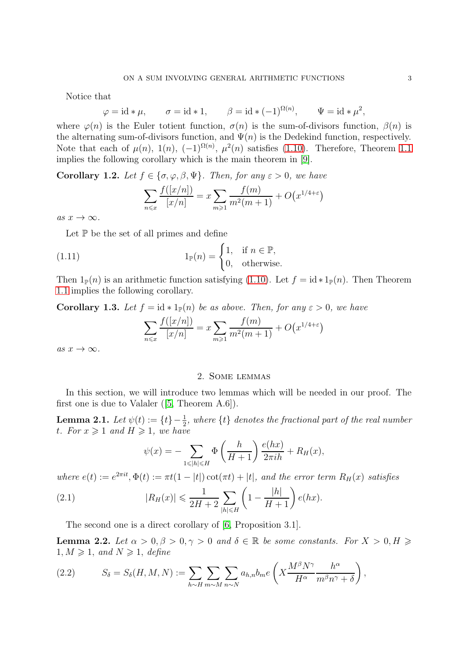Notice that

$$
\varphi = \mathrm{id} * \mu, \qquad \sigma = \mathrm{id} * 1, \qquad \beta = \mathrm{id} * (-1)^{\Omega(n)}, \qquad \Psi = \mathrm{id} * \mu^2,
$$

where  $\varphi(n)$  is the Euler totient function,  $\sigma(n)$  is the sum-of-divisors function,  $\beta(n)$  is the alternating sum-of-divisors function, and  $\Psi(n)$  is the Dedekind function, respectively. Note that each of  $\mu(n)$ ,  $1(n)$ ,  $(-1)^{\Omega(n)}$ ,  $\mu^2(n)$  satisfies  $(1.10)$ . Therefore, Theorem [1.1](#page-1-4) implies the following corollary which is the main theorem in [\[9\]](#page-6-15).

**Corollary 1.2.** Let  $f \in \{\sigma, \varphi, \beta, \Psi\}$ . Then, for any  $\varepsilon > 0$ , we have

$$
\sum_{n \leq x} \frac{f([x/n])}{[x/n]} = x \sum_{m \geq 1} \frac{f(m)}{m^2(m+1)} + O(x^{1/4+\epsilon})
$$

as  $x \to \infty$ .

Let  $\mathbb P$  be the set of all primes and define

(1.11) 
$$
1_{\mathbb{P}}(n) = \begin{cases} 1, & \text{if } n \in \mathbb{P}, \\ 0, & \text{otherwise.} \end{cases}
$$

Then  $1_{\mathbb{P}}(n)$  is an arithmetic function satisfying [\(1.10\)](#page-1-3). Let  $f = id * 1_{\mathbb{P}}(n)$ . Then Theorem [1.1](#page-1-4) implies the following corollary.

Corollary 1.3. Let  $f = id * 1_{\mathbb{P}}(n)$  be as above. Then, for any  $\varepsilon > 0$ , we have

$$
\sum_{n \leq x} \frac{f([x/n])}{[x/n]} = x \sum_{m \geq 1} \frac{f(m)}{m^2(m+1)} + O(x^{1/4+\epsilon})
$$

as  $x \to \infty$ .

## 2. Some lemmas

In this section, we will introduce two lemmas which will be needed in our proof. The first one is due to Valaler ([\[5,](#page-6-3) Theorem A.6]).

<span id="page-2-0"></span>**Lemma 2.1.** Let  $\psi(t) := \{t\} - \frac{1}{2}$ , where  $\{t\}$  denotes the fractional part of the real number t. For  $x \geqslant 1$  and  $H \geqslant 1$ , we have

<span id="page-2-1"></span>
$$
\psi(x) = -\sum_{1 \leq |h| \leq H} \Phi\left(\frac{h}{H+1}\right) \frac{e(hx)}{2\pi ih} + R_H(x),
$$

where  $e(t) := e^{2\pi i t}, \Phi(t) := \pi t(1 - |t|) \cot(\pi t) + |t|$ , and the error term  $R_H(x)$  satisfies

(2.1) 
$$
|R_H(x)| \leq \frac{1}{2H+2} \sum_{|h| \leq H} \left(1 - \frac{|h|}{H+1}\right) e(hx).
$$

The second one is a direct corollary of [\[6,](#page-6-6) Proposition 3.1].

**Lemma 2.2.** Let  $\alpha > 0, \beta > 0, \gamma > 0$  and  $\delta \in \mathbb{R}$  be some constants. For  $X > 0, H \geq$  $1, M \geq 1$ , and  $N \geq 1$ , define

(2.2) 
$$
S_{\delta} = S_{\delta}(H, M, N) := \sum_{h \sim H} \sum_{m \sim M} \sum_{n \sim N} a_{h,n} b_m e\left(X \frac{M^{\beta} N^{\gamma}}{H^{\alpha}} \frac{h^{\alpha}}{m^{\beta} n^{\gamma} + \delta}\right),
$$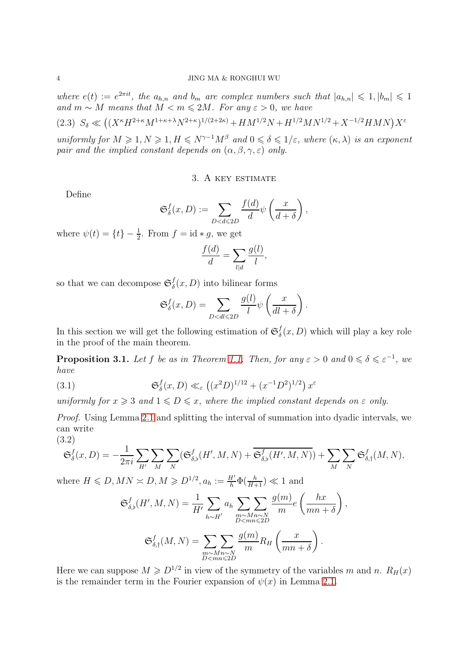where  $e(t) := e^{2\pi i t}$ , the  $a_{h,n}$  and  $b_m$  are complex numbers such that  $|a_{h,n}| \leq 1, |b_m| \leq 1$ and  $m \sim M$  means that  $M < m \leq 2M$ . For any  $\varepsilon > 0$ , we have (2.3)  $S_{\delta} \ll ((X^{\kappa}H^{2+\kappa}M^{1+\kappa+\lambda}N^{2+\kappa})^{1/(2+2\kappa)} + HM^{1/2}N + H^{1/2}MN^{1/2} + X^{-1/2}HMN)X^{\epsilon}$ 

<span id="page-3-0"></span>uniformly for  $M \geq 1, N \geq 1, H \leq N^{\gamma-1}M^{\beta}$  and  $0 \leq \delta \leq 1/\varepsilon$ , where  $(\kappa, \lambda)$  is an exponent pair and the implied constant depends on  $(\alpha, \beta, \gamma, \varepsilon)$  only.

## 3. A key estimate

Define

$$
\mathfrak{S}_{\delta}^{f}(x,D) := \sum_{D < d \leqslant 2D} \frac{f(d)}{d} \psi\left(\frac{x}{d+\delta}\right),
$$

where  $\psi(t) = \{t\} - \frac{1}{2}$ . From  $f = id * g$ , we get

$$
\frac{f(d)}{d} = \sum_{l|d} \frac{g(l)}{l},
$$

so that we can decompose  $\mathfrak{S}_{\delta}^f$  $\delta(x, D)$  into bilinear forms

<span id="page-3-2"></span>
$$
\mathfrak{S}_{\delta}^{f}(x,D) = \sum_{D < dl \leq 2D} \frac{g(l)}{l} \psi\left(\frac{x}{dl+\delta}\right).
$$

In this section we will get the following estimation of  $\mathfrak{S}_{\delta}^{f}$  $\delta(x, D)$  which will play a key role in the proof of the main theorem.

<span id="page-3-3"></span>**Proposition 3.1.** Let f be as in Theorem [1.1.](#page-1-4) Then, for any  $\varepsilon > 0$  and  $0 \le \delta \le \varepsilon^{-1}$ , we have

(3.1) 
$$
\mathfrak{S}_{\delta}^{f}(x, D) \ll_{\varepsilon} ((x^{2}D)^{1/12} + (x^{-1}D^{2})^{1/2}) x^{\varepsilon}
$$

uniformly for  $x \geq 3$  and  $1 \leq D \leq x$ , where the implied constant depends on  $\varepsilon$  only.

Proof. Using Lemma [2.1](#page-2-0) and splitting the interval of summation into dyadic intervals, we can write

(3.2)

<span id="page-3-1"></span>
$$
\mathfrak{S}_{\delta}^{f}(x,D) = -\frac{1}{2\pi i} \sum_{H'} \sum_{M} \sum_{N} (\mathfrak{S}_{\delta,\flat}^{f}(H',M,N) + \overline{\mathfrak{S}_{\delta,\flat}^{f}(H',M,N)}) + \sum_{M} \sum_{N} \mathfrak{S}_{\delta,\dag}^{f}(M,N),
$$

where  $H \leq D, MN \geq D, M \geq D^{1/2}, a_h := \frac{H'}{h} \Phi(\frac{h}{H+1}) \ll 1$  and

$$
\mathfrak{S}_{\delta,\flat}^f(H',M,N) = \frac{1}{H'}\sum_{h\sim H'} a_h \sum_{\substack{m\sim Mn\sim N\\D
$$

,

$$
\mathfrak{S}_{\delta,\dagger}^f(M,N) = \sum_{\substack{m \sim Mn \sim N \\ D < mn \leq 2D}} \frac{g(m)}{m} R_H\left(\frac{x}{mn+\delta}\right).
$$

Here we can suppose  $M \geq D^{1/2}$  in view of the symmetry of the variables m and n.  $R_H(x)$ is the remainder term in the Fourier expansion of  $\psi(x)$  in Lemma [2.1.](#page-2-0)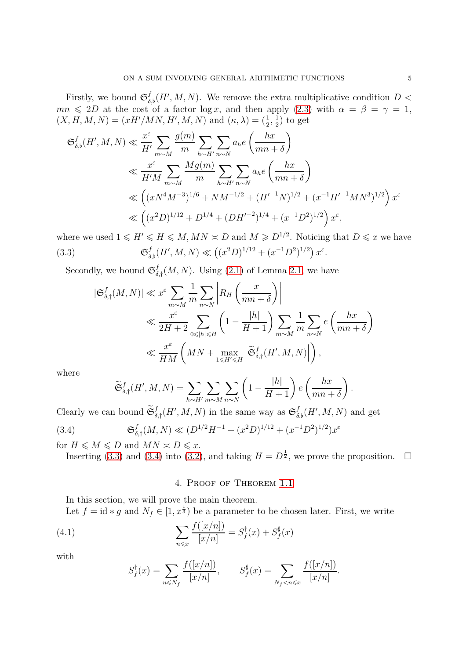Firstly, we bound  $\mathfrak{S}^f_{\delta,\flat}(H',M,N)$ . We remove the extra multiplicative condition  $D$  <  $mn \leq 2D$  at the cost of a factor log x, and then apply [\(2.3\)](#page-3-0) with  $\alpha = \beta = \gamma = 1$ ,  $(X, H, M, N) = (xH'/MN, H', M, N)$  and  $(\kappa, \lambda) = (\frac{1}{2}, \frac{1}{2})$  $(\frac{1}{2})$  to get

$$
\mathfrak{S}_{\delta,\flat}^{f}(H',M,N) \ll \frac{x^{\varepsilon}}{H'} \sum_{m\sim M} \frac{g(m)}{m} \sum_{h\sim H'} \sum_{n\sim N} a_h e\left(\frac{hx}{mn+\delta}\right)
$$
  

$$
\ll \frac{x^{\varepsilon}}{H'M} \sum_{m\sim M} \frac{Mg(m)}{m} \sum_{h\sim H'} \sum_{n\sim N} a_h e\left(\frac{hx}{mn+\delta}\right)
$$
  

$$
\ll \left((xN^4M^{-3})^{1/6} + NM^{-1/2} + (H'^{-1}N)^{1/2} + (x^{-1}H'^{-1}MN^3)^{1/2}\right)x^{\varepsilon}
$$
  

$$
\ll \left((x^2D)^{1/12} + D^{1/4} + (DH'^{-2})^{1/4} + (x^{-1}D^2)^{1/2}\right)x^{\varepsilon},
$$

where we used  $1 \leq H' \leq H \leq M, MN \approx D$  and  $M \geq D^{1/2}$ . Noticing that  $D \leq x$  we have  $(3.3)$  $f_{\delta,\flat}(H',M,N) \ll ((x^2D)^{1/12} + (x^{-1}D^2)^{1/2}) x^{\varepsilon}.$ 

Secondly, we bound  $\mathfrak{S}_{\delta}^f$  $\iint_{\delta,\dagger}(M,N)$ . Using [\(2.1\)](#page-2-1) of Lemma [2.1,](#page-2-0) we have

<span id="page-4-0"></span>
$$
\begin{split} |\mathfrak{S}^f_{\delta,\dagger}(M,N)| &\ll x^\varepsilon \sum_{m\sim M} \frac{1}{m} \sum_{n\sim N} \left| R_H\left(\frac{x}{mn+\delta}\right) \right| \\ &\ll \frac{x^\varepsilon}{2H+2} \sum_{0\leqslant |h| \leqslant H} \left(1-\frac{|h|}{H+1}\right) \sum_{m\sim M} \frac{1}{m} \sum_{n\sim N} e\left(\frac{hx}{mn+\delta}\right) \\ &\ll \frac{x^\varepsilon}{HM}\left(MN+\max_{1\leqslant H'\leqslant H} \left|\widetilde{\mathfrak{S}}^f_{\delta,\dagger}(H',M,N)\right|\right), \end{split}
$$

where

<span id="page-4-1"></span>
$$
\widetilde{\mathfrak{S}}_{\delta,\dagger}^{f}(H',M,N) = \sum_{h\sim H'}\sum_{m\sim M}\sum_{n\sim N}\left(1 - \frac{|h|}{H+1}\right)e\left(\frac{hx}{mn+\delta}\right)
$$

Clearly we can bound  $\widetilde{\mathfrak{S}}_{\delta,\dagger}^f(H',M,N)$  in the same way as  $\mathfrak{S}_{\delta,\dagger}^f(H',M,N)$  and get

$$
(3.4) \qquad \mathfrak{S}_{\delta,\dagger}^{f}(M,N) \ll (D^{1/2}H^{-1} + (x^{2}D)^{1/12} + (x^{-1}D^{2})^{1/2})x^{\varepsilon}
$$

for  $H \leqslant M \leqslant D$  and  $MN \approx D \leqslant x$ . Inserting [\(3.3\)](#page-4-0) and [\(3.4\)](#page-4-1) into [\(3.2\)](#page-3-1), and taking  $H = D^{\frac{1}{2}}$ , we prove the proposition.  $\Box$ 

## <span id="page-4-2"></span>4. Proof of Theorem [1.1](#page-1-4)

In this section, we will prove the main theorem.

Let  $f = id * g$  and  $N_f \in [1, x^{\frac{1}{3}})$  be a parameter to be chosen later. First, we write

(4.1) 
$$
\sum_{n \leq x} \frac{f([x/n])}{[x/n]} = S_f^{\dagger}(x) + S_f^{\sharp}(x)
$$

with

$$
S_f^{\dagger}(x) = \sum_{n \le N_f} \frac{f([x/n])}{[x/n]}, \qquad S_f^{\sharp}(x) = \sum_{N_f < n \le x} \frac{f([x/n])}{[x/n]}.
$$

.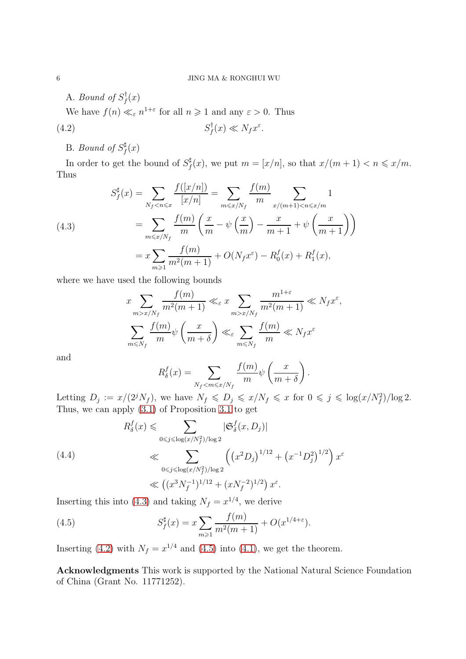A. Bound of  $S_f^{\dagger}$  $f^{\scriptscriptstyle{\intercal}}(x)$ 

We have  $f(n) \ll_{\varepsilon} n^{1+\varepsilon}$  for all  $n \geq 1$  and any  $\varepsilon > 0$ . Thus

$$
(4.2) \tS_f^{\dagger}(x) \ll N_f x^{\varepsilon}.
$$

#### <span id="page-5-1"></span>B. Bound of  $S_f^{\sharp}$  $f^{\sharp}(x)$

In order to get the bound of  $S_f^{\sharp}$  $f(x)$ , we put  $m = [x/n]$ , so that  $x/(m+1) < n \leqslant x/m$ . Thus

<span id="page-5-0"></span>(4.3) 
$$
S_f^{\sharp}(x) = \sum_{N_f < n \leq x} \frac{f([x/n])}{[x/n]} = \sum_{m \leq x/N_f} \frac{f(m)}{m} \sum_{x/(m+1) < n \leq x/m} 1
$$

$$
= \sum_{m \leq x/N_f} \frac{f(m)}{m} \left(\frac{x}{m} - \psi\left(\frac{x}{m}\right) - \frac{x}{m+1} + \psi\left(\frac{x}{m+1}\right)\right)
$$

$$
= x \sum_{m \geq 1} \frac{f(m)}{m^2(m+1)} + O(N_f x^{\varepsilon}) - R_0^f(x) + R_1^f(x),
$$

where we have used the following bounds

$$
x \sum_{m>x/N_f} \frac{f(m)}{m^2(m+1)} \ll_{\varepsilon} x \sum_{m>x/N_f} \frac{m^{1+\varepsilon}}{m^2(m+1)} \ll N_f x^{\varepsilon},
$$
  

$$
\sum_{m\leq N_f} \frac{f(m)}{m} \psi\left(\frac{x}{m+\delta}\right) \ll_{\varepsilon} \sum_{m\leq N_f} \frac{f(m)}{m} \ll N_f x^{\varepsilon}
$$

and

$$
R_{\delta}^{f}(x) = \sum_{N_{f} < m \leqslant x/N_{f}} \frac{f(m)}{m} \psi\left(\frac{x}{m+\delta}\right).
$$

Letting  $D_j := x/(2^j N_f)$ , we have  $N_f \leqslant D_j \leqslant x/N_f \leqslant x$  for  $0 \leqslant j \leqslant \log(x/N_f^2)/\log 2$ . Thus, we can apply [\(3.1\)](#page-3-2) of Proposition [3.1](#page-3-3) to get

$$
R_{\delta}^{f}(x) \leq \sum_{0 \leq j \leq \log(x/N_{f}^{2})/\log 2} |\mathfrak{S}_{\delta}^{f}(x, D_{j})|
$$
\n
$$
\ll \sum_{0 \leq j \leq \log(x/N_{f}^{2})/\log 2} \left( (x^{2} D_{j})^{1/12} + (x^{-1} D_{j}^{2})^{1/2} \right) x^{\varepsilon}
$$
\n
$$
\ll (x^{3} N_{f}^{-1})^{1/12} + (x N_{f}^{-2})^{1/2} x^{\varepsilon}.
$$

Inserting this into [\(4.3\)](#page-5-0) and taking  $N_f = x^{1/4}$ , we derive

<span id="page-5-2"></span>(4.5) 
$$
S_f^{\sharp}(x) = x \sum_{m \geq 1} \frac{f(m)}{m^2(m+1)} + O(x^{1/4+\epsilon}).
$$

Inserting [\(4.2\)](#page-5-1) with  $N_f = x^{1/4}$  and [\(4.5\)](#page-5-2) into [\(4.1\)](#page-4-2), we get the theorem.

Acknowledgments This work is supported by the National Natural Science Foundation of China (Grant No. 11771252).